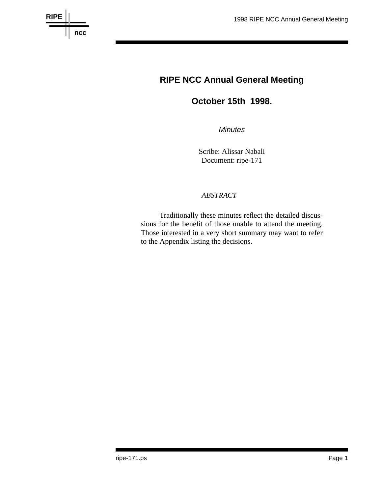

# **RIPE NCC Annual General Meeting**

## **October 15th 1998.**

*Minutes*

Scribe: Alissar Nabali Document: ripe-171

## *ABSTRACT*

Traditionally these minutes reflect the detailed discussions for the benefit of those unable to attend the meeting. Those interested in a very short summary may want to refer to the Appendix listing the decisions.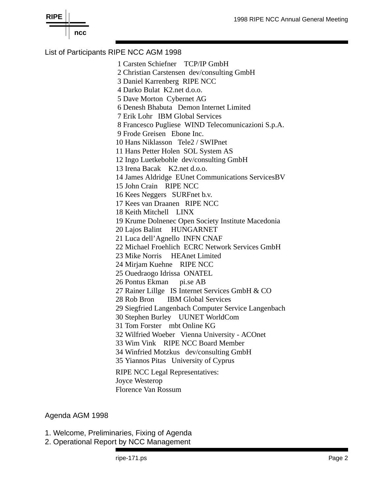

## List of Participants RIPE NCC AGM 1998

1 Carsten Schiefner TCP/IP GmbH 2 Christian Carstensen dev/consulting GmbH 3 Daniel Karrenberg RIPE NCC 4 Darko Bulat K2.net d.o.o. 5 Dave Morton Cybernet AG 6 Denesh Bhabuta Demon Internet Limited 7 Erik Lohr IBM Global Services 8 Francesco Pugliese WIND Telecomunicazioni S.p.A. 9 Frode Greisen Ebone Inc. 10 Hans Niklasson Tele2 / SWIPnet 11 Hans Petter Holen SOL System AS 12 Ingo Luetkebohle dev/consulting GmbH 13 Irena Bacak K2.net d.o.o. 14 James Aldridge EUnet Communications ServicesBV 15 John Crain RIPE NCC 16 Kees Neggers SURFnet b.v. 17 Kees van Draanen RIPE NCC 18 Keith Mitchell LINX 19 Krume Dolnenec Open Society Institute Macedonia 20 Lajos Balint HUNGARNET 21 Luca dell'Agnello INFN CNAF 22 Michael Froehlich ECRC Network Services GmbH 23 Mike Norris HEAnet Limited 24 Mirjam Kuehne RIPE NCC 25 Ouedraogo Idrissa ONATEL 26 Pontus Ekman pi.se AB 27 Rainer Lillge IS Internet Services GmbH & CO 28 Rob Bron IBM Global Services 29 Siegfried Langenbach Computer Service Langenbach 30 Stephen Burley UUNET WorldCom 31 Tom Forster mbt Online KG 32 Wilfried Woeber Vienna University - ACOnet 33 Wim Vink RIPE NCC Board Member 34 Winfried Motzkus dev/consulting GmbH 35 Yiannos Pitas University of Cyprus RIPE NCC Legal Representatives: Joyce Westerop

Agenda AGM 1998

- 1. Welcome, Preliminaries, Fixing of Agenda
- 2. Operational Report by NCC Management

Florence Van Rossum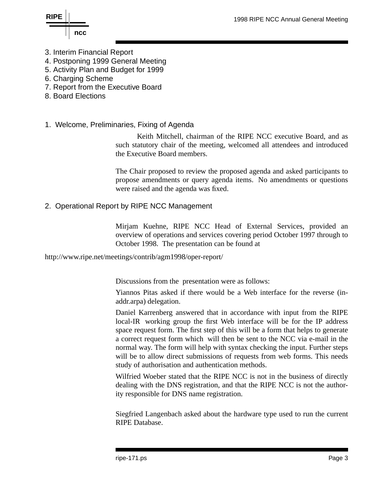

**RIPE**

- 3. Interim Financial Report
- 4. Postponing 1999 General Meeting
- 5. Activity Plan and Budget for 1999
- 6. Charging Scheme
- 7. Report from the Executive Board
- 8. Board Elections
- 1. Welcome, Preliminaries, Fixing of Agenda

Keith Mitchell, chairman of the RIPE NCC executive Board, and as such statutory chair of the meeting, welcomed all attendees and introduced the Executive Board members.

The Chair proposed to review the proposed agenda and asked participants to propose amendments or query agenda items. No amendments or questions were raised and the agenda was fixed.

## 2. Operational Report by RIPE NCC Management

Mirjam Kuehne, RIPE NCC Head of External Services, provided an overview of operations and services covering period October 1997 through to October 1998. The presentation can be found at

http://www.ripe.net/meetings/contrib/agm1998/oper-report/

Discussions from the presentation were as follows:

Yiannos Pitas asked if there would be a Web interface for the reverse (inaddr.arpa) delegation.

Daniel Karrenberg answered that in accordance with input from the RIPE local-IR working group the first Web interface will be for the IP address space request form. The first step of this will be a form that helps to generate a correct request form which will then be sent to the NCC via e-mail in the normal way. The form will help with syntax checking the input. Further steps will be to allow direct submissions of requests from web forms. This needs study of authorisation and authentication methods.

Wilfried Woeber stated that the RIPE NCC is not in the business of directly dealing with the DNS registration, and that the RIPE NCC is not the authority responsible for DNS name registration.

Siegfried Langenbach asked about the hardware type used to run the current RIPE Database.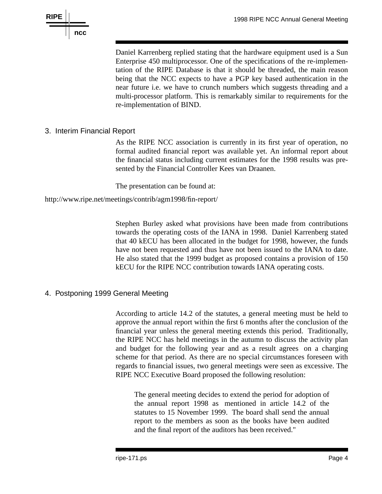

Daniel Karrenberg replied stating that the hardware equipment used is a Sun Enterprise 450 multiprocessor. One of the specifications of the re-implementation of the RIPE Database is that it should be threaded, the main reason being that the NCC expects to have a PGP key based authentication in the near future i.e. we have to crunch numbers which suggests threading and a multi-processor platform. This is remarkably similar to requirements for the re-implementation of BIND.

## 3. Interim Financial Report

As the RIPE NCC association is currently in its first year of operation, no formal audited financial report was available yet. An informal report about the financial status including current estimates for the 1998 results was presented by the Financial Controller Kees van Draanen.

The presentation can be found at:

http://www.ripe.net/meetings/contrib/agm1998/fin-report/

Stephen Burley asked what provisions have been made from contributions towards the operating costs of the IANA in 1998. Daniel Karrenberg stated that 40 kECU has been allocated in the budget for 1998, however, the funds have not been requested and thus have not been issued to the IANA to date. He also stated that the 1999 budget as proposed contains a provision of 150 kECU for the RIPE NCC contribution towards IANA operating costs.

## 4. Postponing 1999 General Meeting

According to article 14.2 of the statutes, a general meeting must be held to approve the annual report within the first 6 months after the conclusion of the financial year unless the general meeting extends this period. Traditionally, the RIPE NCC has held meetings in the autumn to discuss the activity plan and budget for the following year and as a result agrees on a charging scheme for that period. As there are no special circumstances foreseen with regards to financial issues, two general meetings were seen as excessive. The RIPE NCC Executive Board proposed the following resolution:

The general meeting decides to extend the period for adoption of the annual report 1998 as mentioned in article 14.2 of the statutes to 15 November 1999. The board shall send the annual report to the members as soon as the books have been audited and the final report of the auditors has been received."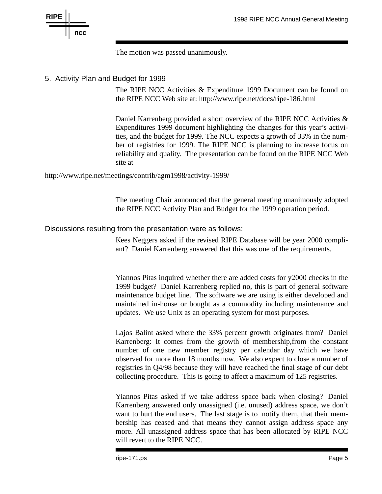

The motion was passed unanimously.

#### 5. Activity Plan and Budget for 1999

The RIPE NCC Activities & Expenditure 1999 Document can be found on the RIPE NCC Web site at: http://www.ripe.net/docs/ripe-186.html

Daniel Karrenberg provided a short overview of the RIPE NCC Activities & Expenditures 1999 document highlighting the changes for this year's activities, and the budget for 1999. The NCC expects a growth of 33% in the number of registries for 1999. The RIPE NCC is planning to increase focus on reliability and quality. The presentation can be found on the RIPE NCC Web site at

http://www.ripe.net/meetings/contrib/agm1998/activity-1999/

The meeting Chair announced that the general meeting unanimously adopted the RIPE NCC Activity Plan and Budget for the 1999 operation period.

#### Discussions resulting from the presentation were as follows:

Kees Neggers asked if the revised RIPE Database will be year 2000 compliant? Daniel Karrenberg answered that this was one of the requirements.

Yiannos Pitas inquired whether there are added costs for y2000 checks in the 1999 budget? Daniel Karrenberg replied no, this is part of general software maintenance budget line. The software we are using is either developed and maintained in-house or bought as a commodity including maintenance and updates. We use Unix as an operating system for most purposes.

Lajos Balint asked where the 33% percent growth originates from? Daniel Karrenberg: It comes from the growth of membership,from the constant number of one new member registry per calendar day which we have observed for more than 18 months now. We also expect to close a number of registries in Q4/98 because they will have reached the final stage of our debt collecting procedure. This is going to affect a maximum of 125 registries.

Yiannos Pitas asked if we take address space back when closing? Daniel Karrenberg answered only unassigned (i.e. unused) address space, we don't want to hurt the end users. The last stage is to notify them, that their membership has ceased and that means they cannot assign address space any more. All unassigned address space that has been allocated by RIPE NCC will revert to the RIPE NCC.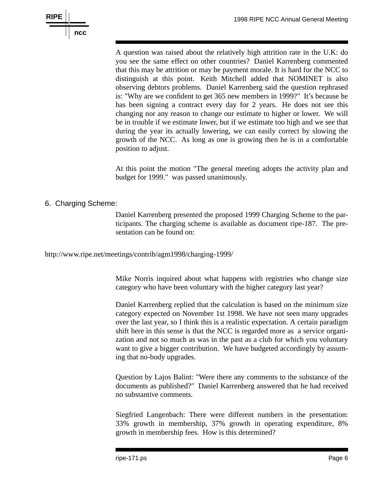

A question was raised about the relatively high attrition rate in the U.K: do you see the same effect on other countries? Daniel Karrenberg commented that this may be attrition or may be payment morale. It is hard for the NCC to distinguish at this point. Keith Mitchell added that NOMINET is also observing debtors problems. Daniel Karrenberg said the question rephrased is: "Why are we confident to get 365 new members in 1999?" It's because he has been signing a contract every day for 2 years. He does not see this changing nor any reason to change our estimate to higher or lower. We will be in trouble if we estimate lower, but if we estimate too high and we see that during the year its actually lowering, we can easily correct by slowing the growth of the NCC. As long as one is growing then he is in a comfortable position to adjust.

At this point the motion "The general meeting adopts the activity plan and budget for 1999." was passed unanimously.

## 6. Charging Scheme:

Daniel Karrenberg presented the proposed 1999 Charging Scheme to the participants. The charging scheme is available as document ripe-187. The presentation can be found on:

http://www.ripe.net/meetings/contrib/agm1998/charging-1999/

Mike Norris inquired about what happens with registries who change size category who have been voluntary with the higher category last year?

Daniel Karrenberg replied that the calculation is based on the minimum size category expected on November 1st 1998. We have not seen many upgrades over the last year, so I think this is a realistic expectation. A certain paradigm shift here in this sense is that the NCC is regarded more as a service organization and not so much as was in the past as a club for which you voluntary want to give a bigger contribution. We have budgeted accordingly by assuming that no-body upgrades.

Question by Lajos Balint: "Were there any comments to the substance of the documents as published?" Daniel Karrenberg answered that he had received no substantive comments.

Siegfried Langenbach: There were different numbers in the presentation: 33% growth in membership, 37% growth in operating expenditure, 8% growth in membership fees. How is this determined?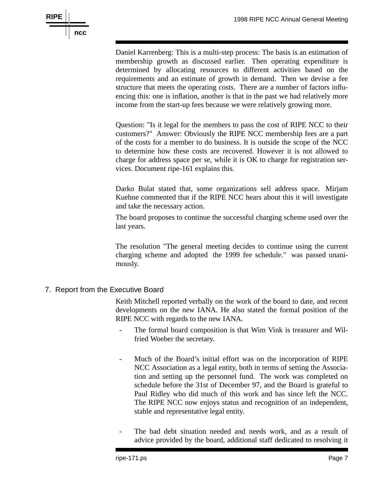

Daniel Karrenberg: This is a multi-step process: The basis is an estimation of membership growth as discussed earlier. Then operating expenditure is determined by allocating resources to different activities based on the requirements and an estimate of growth in demand. Then we devise a fee structure that meets the operating costs. There are a number of factors influencing this: one is inflation, another is that in the past we had relatively more income from the start-up fees because we were relatively growing more.

Question: "Is it legal for the members to pass the cost of RIPE NCC to their customers?" Answer: Obviously the RIPE NCC membership fees are a part of the costs for a member to do business. It is outside the scope of the NCC to determine how these costs are recovered. However it is not allowed to charge for address space per se, while it is OK to charge for registration services. Document ripe-161 explains this.

Darko Bulat stated that, some organizations sell address space. Mirjam Kuehne commented that if the RIPE NCC hears about this it will investigate and take the necessary action.

The board proposes to continue the successful charging scheme used over the last years.

The resolution "The general meeting decides to continue using the current charging scheme and adopted the 1999 fee schedule." was passed unanimously.

7. Report from the Executive Board

Keith Mitchell reported verbally on the work of the board to date, and recent developments on the new IANA. He also stated the formal position of the RIPE NCC with regards to the new IANA.

- The formal board composition is that Wim Vink is treasurer and Wilfried Woeber the secretary.
- Much of the Board's initial effort was on the incorporation of RIPE NCC Association as a legal entity, both in terms of setting the Association and setting up the personnel fund. The work was completed on schedule before the 31st of December 97, and the Board is grateful to Paul Ridley who did much of this work and has since left the NCC. The RIPE NCC now enjoys status and recognition of an independent, stable and representative legal entity.
- The bad debt situation needed and needs work, and as a result of advice provided by the board, additional staff dedicated to resolving it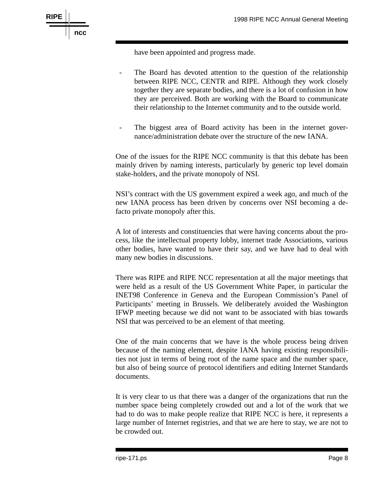

have been appointed and progress made.

- The Board has devoted attention to the question of the relationship between RIPE NCC, CENTR and RIPE. Although they work closely together they are separate bodies, and there is a lot of confusion in how they are perceived. Both are working with the Board to communicate their relationship to the Internet community and to the outside world.
- The biggest area of Board activity has been in the internet governance/administration debate over the structure of the new IANA.

One of the issues for the RIPE NCC community is that this debate has been mainly driven by naming interests, particularly by generic top level domain stake-holders, and the private monopoly of NSI.

NSI's contract with the US government expired a week ago, and much of the new IANA process has been driven by concerns over NSI becoming a defacto private monopoly after this.

A lot of interests and constituencies that were having concerns about the process, like the intellectual property lobby, internet trade Associations, various other bodies, have wanted to have their say, and we have had to deal with many new bodies in discussions.

There was RIPE and RIPE NCC representation at all the major meetings that were held as a result of the US Government White Paper, in particular the INET98 Conference in Geneva and the European Commission's Panel of Participants' meeting in Brussels. We deliberately avoided the Washington IFWP meeting because we did not want to be associated with bias towards NSI that was perceived to be an element of that meeting.

One of the main concerns that we have is the whole process being driven because of the naming element, despite IANA having existing responsibilities not just in terms of being root of the name space and the number space, but also of being source of protocol identifiers and editing Internet Standards documents.

It is very clear to us that there was a danger of the organizations that run the number space being completely crowded out and a lot of the work that we had to do was to make people realize that RIPE NCC is here, it represents a large number of Internet registries, and that we are here to stay, we are not to be crowded out.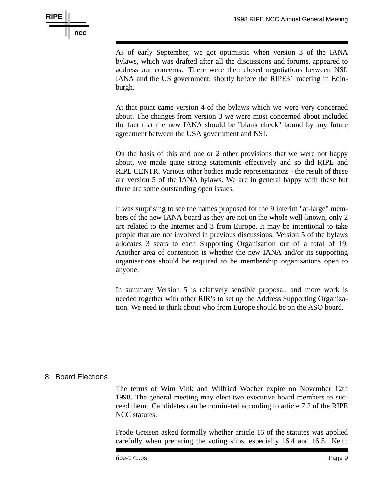

As of early September, we got optimistic when version 3 of the IANA bylaws, which was drafted after all the discussions and forums, appeared to address our concerns. There were then closed negotiations between NSI, IANA and the US government, shortly before the RIPE31 meeting in Edinburgh.

At that point came version 4 of the bylaws which we were very concerned about. The changes from version 3 we were most concerned about included the fact that the new IANA should be "blank check" bound by any future agreement between the USA government and NSI.

On the basis of this and one or 2 other provisions that we were not happy about, we made quite strong statements effectively and so did RIPE and RIPE CENTR. Various other bodies made representations - the result of these are version 5 of the IANA bylaws. We are in general happy with these but there are some outstanding open issues.

It was surprising to see the names proposed for the 9 interim "at-large" members of the new IANA board as they are not on the whole well-known, only 2 are related to the Internet and 3 from Europe. It may be intentional to take people that are not involved in previous discussions. Version 5 of the bylaws allocates 3 seats to each Supporting Organisation out of a total of 19. Another area of contention is whether the new IANA and/or its supporting organisations should be required to be membership organisations open to anyone.

In summary Version 5 is relatively sensible proposal, and more work is needed together with other RIR's to set up the Address Supporting Organization. We need to think about who from Europe should be on the ASO board.

#### 8. Board Elections

The terms of Wim Vink and Wilfried Woeber expire on November 12th 1998. The general meeting may elect two executive board members to succeed them. Candidates can be nominated according to article 7.2 of the RIPE NCC statutes.

Frode Greisen asked formally whether article 16 of the statutes was applied carefully when preparing the voting slips, especially 16.4 and 16.5. Keith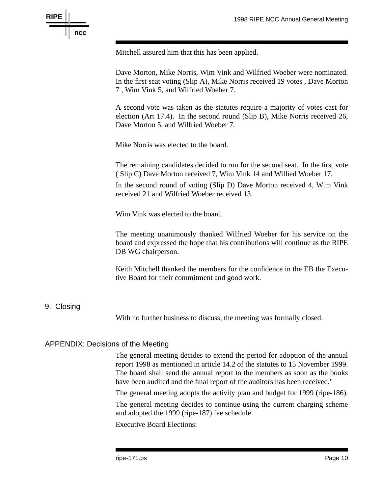

Mitchell assured him that this has been applied.

Dave Morton, Mike Norris, Wim Vink and Wilfried Woeber were nominated. In the first seat voting (Slip A), Mike Norris received 19 votes , Dave Morton 7 , Wim Vink 5, and Wilfried Woeber 7.

A second vote was taken as the statutes require a majority of votes cast for election (Art 17.4). In the second round (Slip B), Mike Norris received 26, Dave Morton 5, and Wilfried Woeber 7.

Mike Norris was elected to the board.

The remaining candidates decided to run for the second seat. In the first vote ( Slip C) Dave Morton received 7, Wim Vink 14 and Wilfied Woeber 17.

In the second round of voting (Slip D) Dave Morton received 4, Wim Vink received 21 and Wilfried Woeber received 13.

Wim Vink was elected to the board.

The meeting unanimously thanked Wilfried Woeber for his service on the board and expressed the hope that his contributions will continue as the RIPE DB WG chairperson.

Keith Mitchell thanked the members for the confidence in the EB the Executive Board for their commitment and good work.

#### 9. Closing

With no further business to discuss, the meeting was formally closed.

#### APPENDIX: Decisions of the Meeting

The general meeting decides to extend the period for adoption of the annual report 1998 as mentioned in article 14.2 of the statutes to 15 November 1999. The board shall send the annual report to the members as soon as the books have been audited and the final report of the auditors has been received."

The general meeting adopts the activity plan and budget for 1999 (ripe-186).

The general meeting decides to continue using the current charging scheme and adopted the 1999 (ripe-187) fee schedule.

Executive Board Elections: